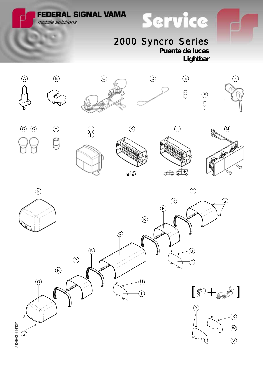**FEDERAL SIGNAL VAMA** 

mobile solutions

## 2000 Syncro Series

**Puente de luces** *Lightbar*

 $\theta$ 

Service





 $\bigcup$ 







E)<br>B